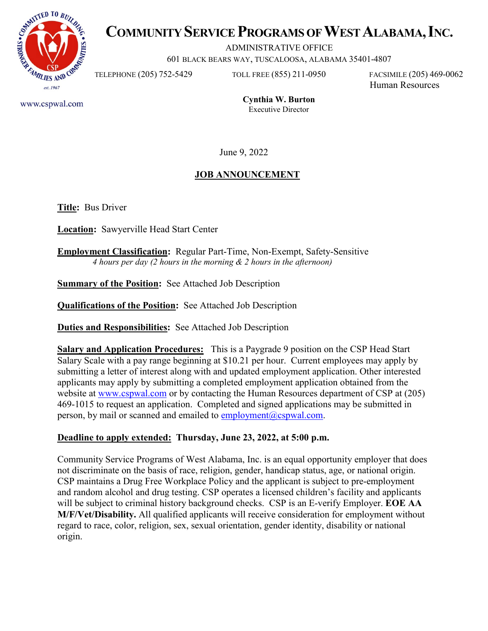

# **COMMUNITY SERVICE PROGRAMS OF WEST ALABAMA, INC.**

ADMINISTRATIVE OFFICE

601 BLACK BEARS WAY, TUSCALOOSA, ALABAMA 35401-4807

TELEPHONE (205) 752-5429 TOLL FREE (855) 211-0950 FACSIMILE (205) 469-0062 Human Resources

www.cspwal.com

**Cynthia W. Burton** Executive Director

June 9, 2022

# **JOB ANNOUNCEMENT**

**Title:** Bus Driver

**Location:** Sawyerville Head Start Center

**Employment Classification:** Regular Part-Time, Non-Exempt, Safety-Sensitive  *4 hours per day (2 hours in the morning & 2 hours in the afternoon)* 

**Summary of the Position:** See Attached Job Description

**Qualifications of the Position:** See Attached Job Description

**Duties and Responsibilities:** See Attached Job Description

**Salary and Application Procedures:** This is a Paygrade 9 position on the CSP Head Start Salary Scale with a pay range beginning at \$10.21 per hour. Current employees may apply by submitting a letter of interest along with and updated employment application. Other interested applicants may apply by submitting a completed employment application obtained from the website at [www.cspwal.com](http://www.cspwal.com/) or by contacting the Human Resources department of CSP at (205) 469-1015 to request an application. Completed and signed applications may be submitted in person, by mail or scanned and emailed to employment $(a)$ cspwal.com.

### **Deadline to apply extended: Thursday, June 23, 2022, at 5:00 p.m.**

Community Service Programs of West Alabama, Inc. is an equal opportunity employer that does not discriminate on the basis of race, religion, gender, handicap status, age, or national origin. CSP maintains a Drug Free Workplace Policy and the applicant is subject to pre-employment and random alcohol and drug testing. CSP operates a licensed children's facility and applicants will be subject to criminal history background checks. CSP is an E-verify Employer. **EOE AA M/F/Vet/Disability.** All qualified applicants will receive consideration for employment without regard to race, color, religion, sex, sexual orientation, gender identity, disability or national origin.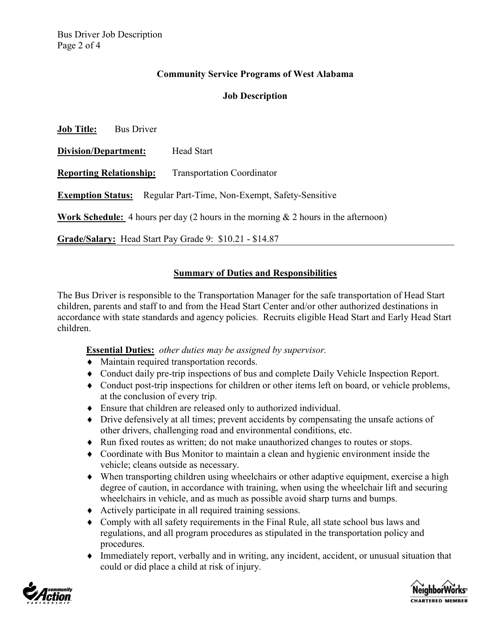## **Community Service Programs of West Alabama**

#### **Job Description**

**Job Title:** Bus Driver **Division/Department:** Head Start **Reporting Relationship:** Transportation Coordinator **Exemption Status:** Regular Part-Time, Non-Exempt, Safety-Sensitive **Work Schedule:** 4 hours per day (2 hours in the morning & 2 hours in the afternoon) **Grade/Salary:** Head Start Pay Grade 9: \$10.21 - \$14.87

#### **Summary of Duties and Responsibilities**

The Bus Driver is responsible to the Transportation Manager for the safe transportation of Head Start children, parents and staff to and from the Head Start Center and/or other authorized destinations in accordance with state standards and agency policies. Recruits eligible Head Start and Early Head Start children.

**Essential Duties:** *other duties may be assigned by supervisor.* 

- ♦ Maintain required transportation records.
- ♦ Conduct daily pre-trip inspections of bus and complete Daily Vehicle Inspection Report.
- ♦ Conduct post-trip inspections for children or other items left on board, or vehicle problems, at the conclusion of every trip.
- ♦ Ensure that children are released only to authorized individual.
- ♦ Drive defensively at all times; prevent accidents by compensating the unsafe actions of other drivers, challenging road and environmental conditions, etc.
- ♦ Run fixed routes as written; do not make unauthorized changes to routes or stops.
- ♦ Coordinate with Bus Monitor to maintain a clean and hygienic environment inside the vehicle; cleans outside as necessary.
- ♦ When transporting children using wheelchairs or other adaptive equipment, exercise a high degree of caution, in accordance with training, when using the wheelchair lift and securing wheelchairs in vehicle, and as much as possible avoid sharp turns and bumps.
- ♦ Actively participate in all required training sessions.
- ♦ Comply with all safety requirements in the Final Rule, all state school bus laws and regulations, and all program procedures as stipulated in the transportation policy and procedures.
- ♦ Immediately report, verbally and in writing, any incident, accident, or unusual situation that could or did place a child at risk of injury.



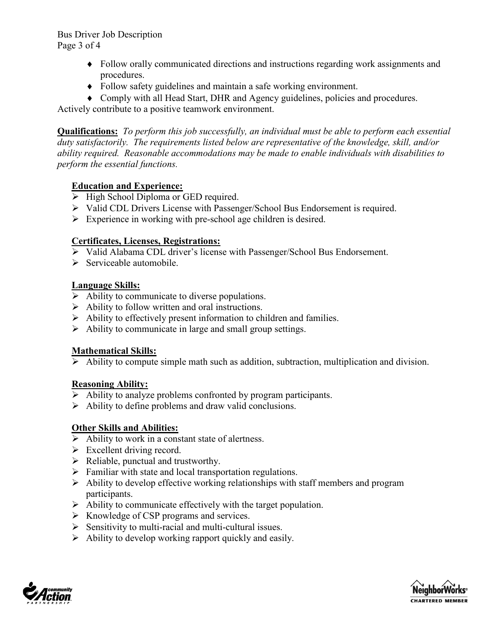Bus Driver Job Description Page 3 of 4

- ♦ Follow orally communicated directions and instructions regarding work assignments and procedures.
- ♦ Follow safety guidelines and maintain a safe working environment.
- ♦ Comply with all Head Start, DHR and Agency guidelines, policies and procedures.

Actively contribute to a positive teamwork environment.

**Qualifications:** *To perform this job successfully, an individual must be able to perform each essential duty satisfactorily. The requirements listed below are representative of the knowledge, skill, and/or ability required. Reasonable accommodations may be made to enable individuals with disabilities to perform the essential functions.* 

### **Education and Experience:**

- $\triangleright$  High School Diploma or GED required.
- Valid CDL Drivers License with Passenger/School Bus Endorsement is required.
- > Experience in working with pre-school age children is desired.

## **Certificates, Licenses, Registrations:**

- Valid Alabama CDL driver's license with Passenger/School Bus Endorsement.
- $\triangleright$  Serviceable automobile.

# **Language Skills:**

- $\triangleright$  Ability to communicate to diverse populations.
- $\triangleright$  Ability to follow written and oral instructions.
- $\triangleright$  Ability to effectively present information to children and families.
- $\triangleright$  Ability to communicate in large and small group settings.

### **Mathematical Skills:**

 $\triangleright$  Ability to compute simple math such as addition, subtraction, multiplication and division.

### **Reasoning Ability:**

- $\triangleright$  Ability to analyze problems confronted by program participants.
- $\triangleright$  Ability to define problems and draw valid conclusions.

# **Other Skills and Abilities:**

- Ability to work in a constant state of alertness.
- $\triangleright$  Excellent driving record.
- $\triangleright$  Reliable, punctual and trustworthy.
- $\triangleright$  Familiar with state and local transportation regulations.
- $\triangleright$  Ability to develop effective working relationships with staff members and program participants.
- $\triangleright$  Ability to communicate effectively with the target population.
- $\triangleright$  Knowledge of CSP programs and services.
- $\triangleright$  Sensitivity to multi-racial and multi-cultural issues.
- $\triangleright$  Ability to develop working rapport quickly and easily.